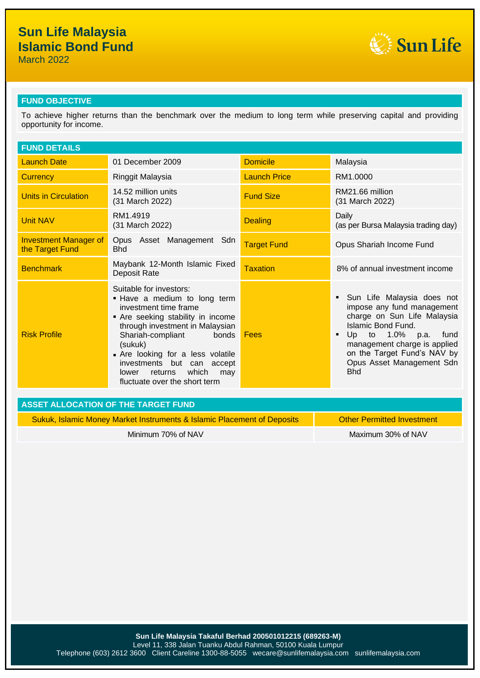March 2022



#### **FUND OBJECTIVE**

To achieve higher returns than the benchmark over the medium to long term while preserving capital and providing opportunity for income.

| <b>FUND DETAILS</b>                             |                                                                                                                                                                                                                                                                                                                                       |                     |                                                                                                                                                                                                                                                                              |
|-------------------------------------------------|---------------------------------------------------------------------------------------------------------------------------------------------------------------------------------------------------------------------------------------------------------------------------------------------------------------------------------------|---------------------|------------------------------------------------------------------------------------------------------------------------------------------------------------------------------------------------------------------------------------------------------------------------------|
| <b>Launch Date</b>                              | 01 December 2009                                                                                                                                                                                                                                                                                                                      | <b>Domicile</b>     | Malaysia                                                                                                                                                                                                                                                                     |
| <b>Currency</b>                                 | Ringgit Malaysia                                                                                                                                                                                                                                                                                                                      | <b>Launch Price</b> | RM1.0000                                                                                                                                                                                                                                                                     |
| <b>Units in Circulation</b>                     | 14.52 million units<br>(31 March 2022)                                                                                                                                                                                                                                                                                                | <b>Fund Size</b>    | RM21.66 million<br>(31 March 2022)                                                                                                                                                                                                                                           |
| <b>Unit NAV</b>                                 | RM1.4919<br>(31 March 2022)                                                                                                                                                                                                                                                                                                           | <b>Dealing</b>      | Daily<br>(as per Bursa Malaysia trading day)                                                                                                                                                                                                                                 |
| <b>Investment Manager of</b><br>the Target Fund | Opus Asset Management Sdn<br><b>Bhd</b>                                                                                                                                                                                                                                                                                               | <b>Target Fund</b>  | Opus Shariah Income Fund                                                                                                                                                                                                                                                     |
| <b>Benchmark</b>                                | Maybank 12-Month Islamic Fixed<br>Deposit Rate                                                                                                                                                                                                                                                                                        | <b>Taxation</b>     | 8% of annual investment income                                                                                                                                                                                                                                               |
| <b>Risk Profile</b>                             | Suitable for investors:<br>. Have a medium to long term<br>investment time frame<br>Are seeking stability in income<br>through investment in Malaysian<br>Shariah-compliant<br>bonds<br>(sukuk)<br>Are looking for a less volatile<br>investments but can accept<br>which<br>returns<br>lower<br>may<br>fluctuate over the short term | Fees                | Sun Life Malaysia does not<br>٠<br>impose any fund management<br>charge on Sun Life Malaysia<br>Islamic Bond Fund.<br>to 1.0% p.a.<br>Up<br>fund<br>$\blacksquare$<br>management charge is applied<br>on the Target Fund's NAV by<br>Opus Asset Management Sdn<br><b>Bhd</b> |
| <b>ASSET ALLOCATION OF THE TARGET FUND</b>      |                                                                                                                                                                                                                                                                                                                                       |                     |                                                                                                                                                                                                                                                                              |
|                                                 | Sukuk, Islamic Money Market Instruments & Islamic Placement of Deposits                                                                                                                                                                                                                                                               |                     | <b>Other Permitted Investment</b>                                                                                                                                                                                                                                            |

Minimum 70% of NAV Maximum 30% of NAV Maximum 30% of NAV

**Sun Life Malaysia Takaful Berhad 200501012215 (689263-M)** Level 11, 338 Jalan Tuanku Abdul Rahman, 50100 Kuala Lumpur Telephone (603) 2612 3600 Client Careline 1300-88-5055 wecare@sunlifemalaysia.com sunlifemalaysia.com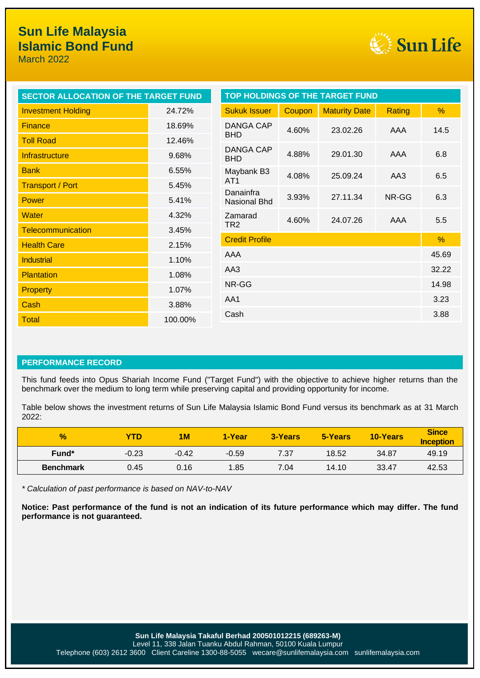March 2022



| SECTOR ALLOCATION OF THE TARGET FUND |                 | <b>TOP HOLDINGS OF THE TARGET FUND</b> |        |                      |        |      |
|--------------------------------------|-----------------|----------------------------------------|--------|----------------------|--------|------|
| <b>Investment Holding</b>            | 24.72%          | <b>Sukuk Issuer</b>                    | Coupon | <b>Maturity Date</b> | Rating | %    |
| <b>Finance</b>                       | 18.69%          | DANGA CAP                              | 4.60%  | 23.02.26             | AAA    | 14.5 |
| <b>Toll Road</b>                     | 12.46%          | <b>BHD</b>                             |        |                      |        |      |
| Infrastructure                       | 9.68%           | DANGA CAP<br><b>BHD</b>                | 4.88%  | 29.01.30             | AAA    | 6.8  |
| <b>Bank</b>                          | 6.55%           | Maybank B3                             | 4.08%  | 25.09.24             | AA3    | 6.5  |
| <b>Transport / Port</b>              | 5.45%           | AT <sub>1</sub>                        |        |                      |        |      |
| <b>Power</b>                         | 5.41%           | Danainfra<br>Nasional Bhd              | 3.93%  | 27.11.34             | NR-GG  | 6.3  |
| <b>Water</b>                         | 4.32%           | Zamarad                                | 4.60%  | 24.07.26             | AAA    | 5.5  |
| <b>Telecommunication</b>             | 3.45%           | TR <sub>2</sub>                        |        |                      |        |      |
| <b>Health Care</b>                   | 2.15%           | <b>Credit Profile</b>                  |        |                      |        | $\%$ |
| <b>Industrial</b>                    | AAA<br>1.10%    |                                        | 45.69  |                      |        |      |
| <b>Plantation</b>                    | AA3<br>1.08%    |                                        | 32.22  |                      |        |      |
| <b>Property</b>                      | NR-GG<br>1.07%  |                                        | 14.98  |                      |        |      |
| Cash                                 | AA1<br>3.88%    |                                        | 3.23   |                      |        |      |
| <b>Total</b>                         | Cash<br>100.00% |                                        | 3.88   |                      |        |      |

#### **PERFORMANCE RECORD**

This fund feeds into Opus Shariah Income Fund ("Target Fund") with the objective to achieve higher returns than the benchmark over the medium to long term while preserving capital and providing opportunity for income.

Table below shows the investment returns of Sun Life Malaysia Islamic Bond Fund versus its benchmark as at 31 March 2022:

| $\frac{1}{2}$    | YTD     | 1 <sub>M</sub> | 1-Year  | 3-Years | 5-Years | <b>10-Years</b> | <b>Since</b><br><b>Inception</b> |
|------------------|---------|----------------|---------|---------|---------|-----------------|----------------------------------|
| Fund*            | $-0.23$ | $-0.42$        | $-0.59$ | 7.37    | 18.52   | 34.87           | 49.19                            |
| <b>Benchmark</b> | 0.45    | 0.16           | 1.85    | 7.04    | 14.10   | 33.47           | 42.53                            |

*\* Calculation of past performance is based on NAV-to-NAV*

**Notice: Past performance of the fund is not an indication of its future performance which may differ. The fund performance is not guaranteed.**

**Sun Life Malaysia Takaful Berhad 200501012215 (689263-M)**

Level 11, 338 Jalan Tuanku Abdul Rahman, 50100 Kuala Lumpur Telephone (603) 2612 3600 Client Careline 1300-88-5055 wecare@sunlifemalaysia.com sunlifemalaysia.com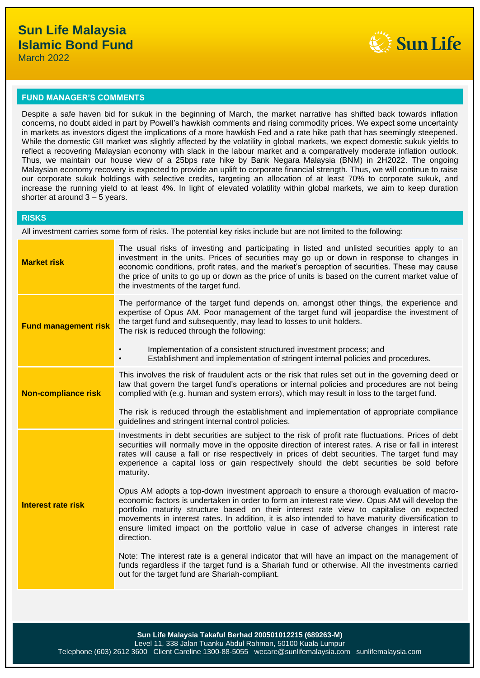

#### **FUND MANAGER'S COMMENTS**

Despite a safe haven bid for sukuk in the beginning of March, the market narrative has shifted back towards inflation concerns, no doubt aided in part by Powell's hawkish comments and rising commodity prices. We expect some uncertainty in markets as investors digest the implications of a more hawkish Fed and a rate hike path that has seemingly steepened. While the domestic GII market was slightly affected by the volatility in global markets, we expect domestic sukuk yields to reflect a recovering Malaysian economy with slack in the labour market and a comparatively moderate inflation outlook. Thus, we maintain our house view of a 25bps rate hike by Bank Negara Malaysia (BNM) in 2H2022. The ongoing Malaysian economy recovery is expected to provide an uplift to corporate financial strength. Thus, we will continue to raise our corporate sukuk holdings with selective credits, targeting an allocation of at least 70% to corporate sukuk, and increase the running yield to at least 4%. In light of elevated volatility within global markets, we aim to keep duration shorter at around 3 – 5 years.

#### **RISKS**

All investment carries some form of risks. The potential key risks include but are not limited to the following:

| <b>Market risk</b>          | The usual risks of investing and participating in listed and unlisted securities apply to an<br>investment in the units. Prices of securities may go up or down in response to changes in<br>economic conditions, profit rates, and the market's perception of securities. These may cause<br>the price of units to go up or down as the price of units is based on the current market value of<br>the investments of the target fund.                                                                |
|-----------------------------|-------------------------------------------------------------------------------------------------------------------------------------------------------------------------------------------------------------------------------------------------------------------------------------------------------------------------------------------------------------------------------------------------------------------------------------------------------------------------------------------------------|
| <b>Fund management risk</b> | The performance of the target fund depends on, amongst other things, the experience and<br>expertise of Opus AM. Poor management of the target fund will jeopardise the investment of<br>the target fund and subsequently, may lead to losses to unit holders.<br>The risk is reduced through the following:                                                                                                                                                                                          |
|                             | Implementation of a consistent structured investment process; and<br>$\bullet$<br>Establishment and implementation of stringent internal policies and procedures.<br>$\bullet$                                                                                                                                                                                                                                                                                                                        |
| <b>Non-compliance risk</b>  | This involves the risk of fraudulent acts or the risk that rules set out in the governing deed or<br>law that govern the target fund's operations or internal policies and procedures are not being<br>complied with (e.g. human and system errors), which may result in loss to the target fund.                                                                                                                                                                                                     |
|                             | The risk is reduced through the establishment and implementation of appropriate compliance<br>guidelines and stringent internal control policies.                                                                                                                                                                                                                                                                                                                                                     |
| <b>Interest rate risk</b>   | Investments in debt securities are subject to the risk of profit rate fluctuations. Prices of debt<br>securities will normally move in the opposite direction of interest rates. A rise or fall in interest<br>rates will cause a fall or rise respectively in prices of debt securities. The target fund may<br>experience a capital loss or gain respectively should the debt securities be sold before<br>maturity.                                                                                |
|                             | Opus AM adopts a top-down investment approach to ensure a thorough evaluation of macro-<br>economic factors is undertaken in order to form an interest rate view. Opus AM will develop the<br>portfolio maturity structure based on their interest rate view to capitalise on expected<br>movements in interest rates. In addition, it is also intended to have maturity diversification to<br>ensure limited impact on the portfolio value in case of adverse changes in interest rate<br>direction. |
|                             | Note: The interest rate is a general indicator that will have an impact on the management of<br>funds regardless if the target fund is a Shariah fund or otherwise. All the investments carried<br>out for the target fund are Shariah-compliant.                                                                                                                                                                                                                                                     |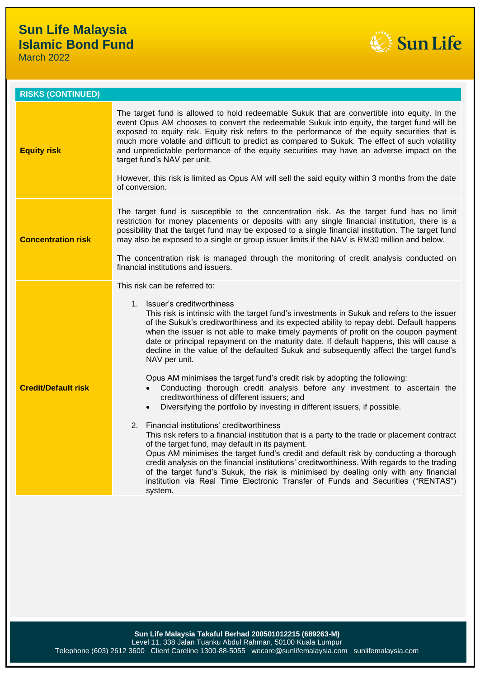March 2022



| <b>RISKS (CONTINUED)</b>   |                                                                                                                                                                                                                                                                                                                                                                                                                                                                                                                                                                                                                                                                                                                                                                                                                                                                                                                                                                                                                                                                                                                                                                                                                                                                                                                                                                                                            |
|----------------------------|------------------------------------------------------------------------------------------------------------------------------------------------------------------------------------------------------------------------------------------------------------------------------------------------------------------------------------------------------------------------------------------------------------------------------------------------------------------------------------------------------------------------------------------------------------------------------------------------------------------------------------------------------------------------------------------------------------------------------------------------------------------------------------------------------------------------------------------------------------------------------------------------------------------------------------------------------------------------------------------------------------------------------------------------------------------------------------------------------------------------------------------------------------------------------------------------------------------------------------------------------------------------------------------------------------------------------------------------------------------------------------------------------------|
| <b>Equity risk</b>         | The target fund is allowed to hold redeemable Sukuk that are convertible into equity. In the<br>event Opus AM chooses to convert the redeemable Sukuk into equity, the target fund will be<br>exposed to equity risk. Equity risk refers to the performance of the equity securities that is<br>much more volatile and difficult to predict as compared to Sukuk. The effect of such volatility<br>and unpredictable performance of the equity securities may have an adverse impact on the<br>target fund's NAV per unit.<br>However, this risk is limited as Opus AM will sell the said equity within 3 months from the date<br>of conversion.                                                                                                                                                                                                                                                                                                                                                                                                                                                                                                                                                                                                                                                                                                                                                           |
| <b>Concentration risk</b>  | The target fund is susceptible to the concentration risk. As the target fund has no limit<br>restriction for money placements or deposits with any single financial institution, there is a<br>possibility that the target fund may be exposed to a single financial institution. The target fund<br>may also be exposed to a single or group issuer limits if the NAV is RM30 million and below.<br>The concentration risk is managed through the monitoring of credit analysis conducted on<br>financial institutions and issuers.                                                                                                                                                                                                                                                                                                                                                                                                                                                                                                                                                                                                                                                                                                                                                                                                                                                                       |
|                            | This risk can be referred to:                                                                                                                                                                                                                                                                                                                                                                                                                                                                                                                                                                                                                                                                                                                                                                                                                                                                                                                                                                                                                                                                                                                                                                                                                                                                                                                                                                              |
| <b>Credit/Default risk</b> | 1. Issuer's creditworthiness<br>This risk is intrinsic with the target fund's investments in Sukuk and refers to the issuer<br>of the Sukuk's creditworthiness and its expected ability to repay debt. Default happens<br>when the issuer is not able to make timely payments of profit on the coupon payment<br>date or principal repayment on the maturity date. If default happens, this will cause a<br>decline in the value of the defaulted Sukuk and subsequently affect the target fund's<br>NAV per unit.<br>Opus AM minimises the target fund's credit risk by adopting the following:<br>Conducting thorough credit analysis before any investment to ascertain the<br>creditworthiness of different issuers; and<br>Diversifying the portfolio by investing in different issuers, if possible.<br>$\bullet$<br>2. Financial institutions' creditworthiness<br>This risk refers to a financial institution that is a party to the trade or placement contract<br>of the target fund, may default in its payment.<br>Opus AM minimises the target fund's credit and default risk by conducting a thorough<br>credit analysis on the financial institutions' creditworthiness. With regards to the trading<br>of the target fund's Sukuk, the risk is minimised by dealing only with any financial<br>institution via Real Time Electronic Transfer of Funds and Securities ("RENTAS")<br>system. |